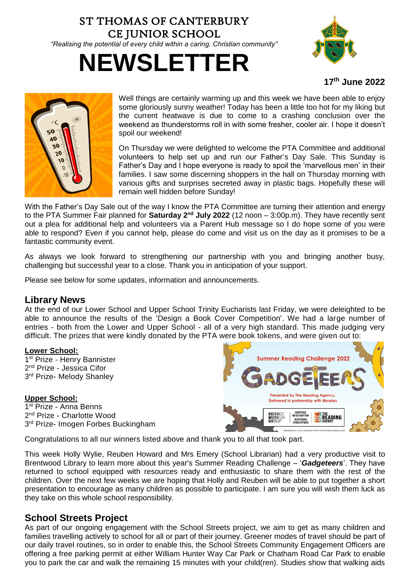## ST THOMAS OF CANTERBURY CE JUNIOR SCHOOL *"Realising the potential of every child within a caring, Christian community"*





### **17th June 2022**



Well things are certainly warming up and this week we have been able to enjoy some gloriously sunny weather! Today has been a little too hot for my liking but the current heatwave is due to come to a crashing conclusion over the weekend as thunderstorms roll in with some fresher, cooler air. I hope it doesn't spoil our weekend!

On Thursday we were delighted to welcome the PTA Committee and additional volunteers to help set up and run our Father's Day Sale. This Sunday is Father's Day and I hope everyone is ready to spoil the 'marvellous men' in their families. I saw some discerning shoppers in the hall on Thursday morning with various gifts and surprises secreted away in plastic bags. Hopefully these will remain well hidden before Sunday!

With the Father's Day Sale out of the way I know the PTA Committee are turning their attention and energy to the PTA Summer Fair planned for **Saturday 2nd July 2022** (12 noon – 3:00p.m). They have recently sent out a plea for additional help and volunteers via a Parent Hub message so I do hope some of you were able to respond? Even if you cannot help, please do come and visit us on the day as it promises to be a fantastic community event.

As always we look forward to strengthening our partnership with you and bringing another busy, challenging but successful year to a close. Thank you in anticipation of your support.

Please see below for some updates, information and announcements.

## **Library News**

At the end of our Lower School and Upper School Trinity Eucharists last Friday, we were deleighted to be able to announce the results of the 'Design a Book Cover Competition'. We had a large number of entries - both from the Lower and Upper School - all of a very high standard. This made judging very difficult. The prizes that were kindly donated by the PTA were book tokens, and were given out to:

#### **Lower School:**

1<sup>st</sup> Prize - Henry Bannister 2<sup>nd</sup> Prize - Jessica Cifor 3<sup>rd</sup> Prize- Melody Shanley

#### **Upper School:**

1st Prize - Anna Benns 2<sup>nd</sup> Prize - Charlotte Wood 3<sup>rd</sup> Prize- Imogen Forbes Buckingham



Congratulations to all our winners listed above and thank you to all that took part.

This week Holly Wylie, Reuben Howard and Mrs Emery (School Librarian) had a very productive visit to Brentwood Library to learn more about this year's Summer Reading Challenge – '*Gadgeteers*'. They have returned to school equipped with resources ready and enthusiastic to share them with the rest of the children. Over the next few weeks we are hoping that Holly and Reuben will be able to put together a short presentation to encourage as many children as possible to participate. I am sure you will wish them luck as they take on this whole school responsibility.

## **School Streets Project**

As part of our ongoing engagement with the School Streets project, we aim to get as many children and families travelling actively to school for all or part of their journey. Greener modes of travel should be part of our daily travel routines, so in order to enable this, the School Streets Community Engagement Officers are offering a free parking permit at either William Hunter Way Car Park or Chatham Road Car Park to enable you to park the car and walk the remaining 15 minutes with your child(ren). Studies show that walking aids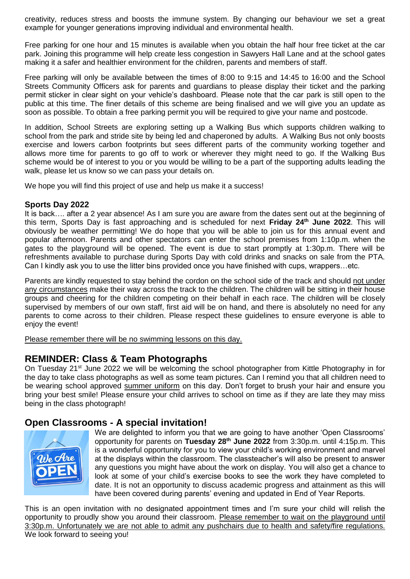creativity, reduces stress and boosts the immune system. By changing our behaviour we set a great example for younger generations improving individual and environmental health.

Free parking for one hour and 15 minutes is available when you obtain the half hour free ticket at the car park. Joining this programme will help create less congestion in Sawyers Hall Lane and at the school gates making it a safer and healthier environment for the children, parents and members of staff.

Free parking will only be available between the times of 8:00 to 9:15 and 14:45 to 16:00 and the School Streets Community Officers ask for parents and guardians to please display their ticket and the parking permit sticker in clear sight on your vehicle's dashboard. Please note that the car park is still open to the public at this time. The finer details of this scheme are being finalised and we will give you an update as soon as possible. To obtain a free parking permit you will be required to give your name and postcode.

In addition, School Streets are exploring setting up a Walking Bus which supports children walking to school from the park and stride site by being led and chaperoned by adults. A Walking Bus not only boosts exercise and lowers carbon footprints but sees different parts of the community working together and allows more time for parents to go off to work or wherever they might need to go. If the Walking Bus scheme would be of interest to you or you would be willing to be a part of the supporting adults leading the walk, please let us know so we can pass your details on.

We hope you will find this project of use and help us make it a success!

#### **Sports Day 2022**

It is back…. after a 2 year absence! As I am sure you are aware from the dates sent out at the beginning of this term, Sports Day is fast approaching and is scheduled for next **Friday 24th June 2022**. This will obviously be weather permitting! We do hope that you will be able to join us for this annual event and popular afternoon. Parents and other spectators can enter the school premises from 1:10p.m. when the gates to the playground will be opened. The event is due to start promptly at 1:30p.m. There will be refreshments available to purchase during Sports Day with cold drinks and snacks on sale from the PTA. Can I kindly ask you to use the litter bins provided once you have finished with cups, wrappers…etc.

Parents are kindly requested to stay behind the cordon on the school side of the track and should not under any circumstances make their way across the track to the children. The children will be sitting in their house groups and cheering for the children competing on their behalf in each race. The children will be closely supervised by members of our own staff, first aid will be on hand, and there is absolutely no need for any parents to come across to their children. Please respect these guidelines to ensure everyone is able to enjoy the event!

Please remember there will be no swimming lessons on this day.

## **REMINDER: Class & Team Photographs**

On Tuesdav 21<sup>st</sup> June 2022 we will be welcoming the school photographer from Kittle Photography in for the day to take class photographs as well as some team pictures. Can I remind you that all children need to be wearing school approved summer uniform on this day. Don't forget to brush your hair and ensure you bring your best smile! Please ensure your child arrives to school on time as if they are late they may miss being in the class photograph!

## **Open Classrooms - A special invitation!**



We are delighted to inform you that we are going to have another 'Open Classrooms' opportunity for parents on **Tuesday 28 th June 2022** from 3:30p.m. until 4:15p.m. This is a wonderful opportunity for you to view your child's working environment and marvel at the displays within the classroom. The classteacher's will also be present to answer any questions you might have about the work on display. You will also get a chance to look at some of your child's exercise books to see the work they have completed to date. It is not an opportunity to discuss academic progress and attainment as this will have been covered during parents' evening and updated in End of Year Reports.

This is an open invitation with no designated appointment times and I'm sure your child will relish the opportunity to proudly show you around their classroom. Please remember to wait on the playground until 3:30p.m. Unfortunately we are not able to admit any pushchairs due to health and safety/fire regulations. We look forward to seeing you!